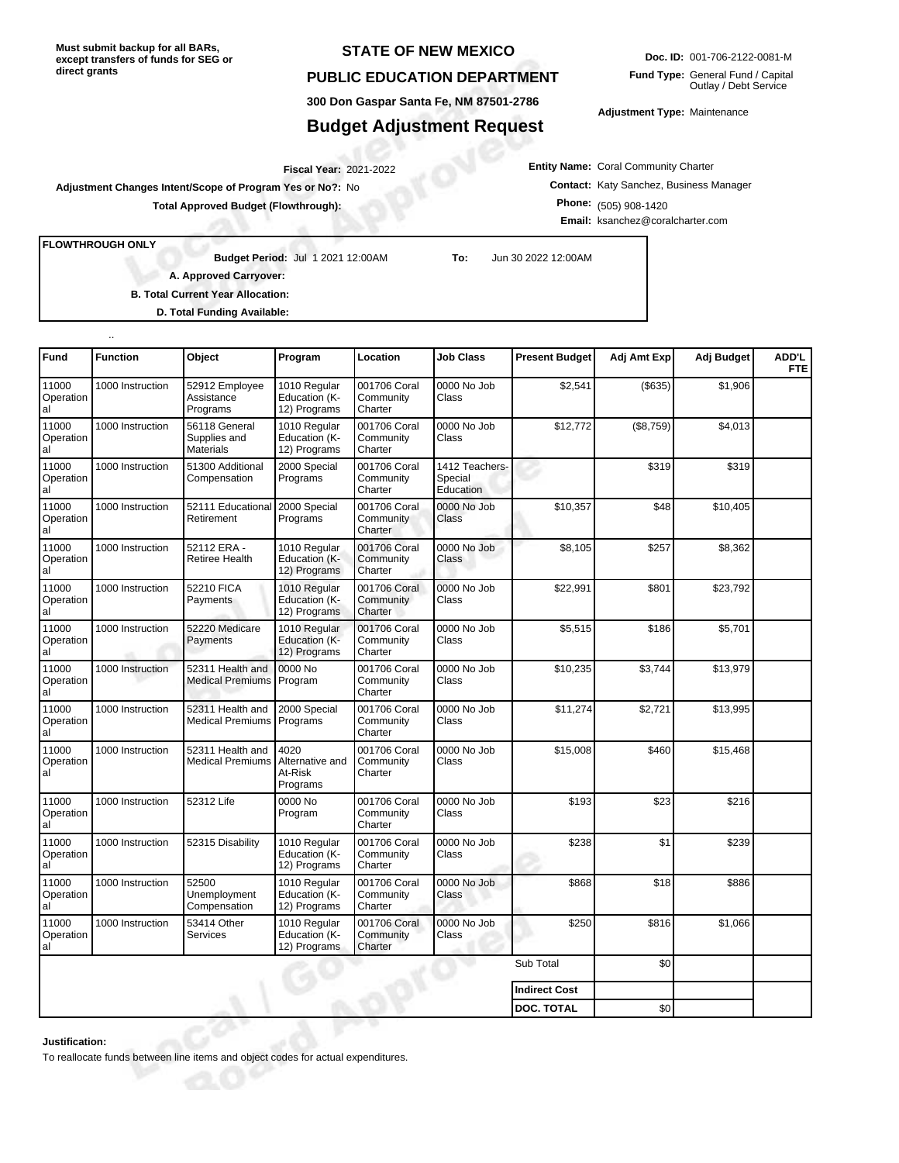**Must submit backup for all BARs, except transfers of funds for SEG or direct grants**

## **STATE OF NEW MEXICO**

## **PUBLIC EDUCATION DEPARTMENT**

**300 Don Gaspar Santa Fe, NM 87501-2786**

## **Budget Adjustment Request**

**Doc. ID:** 001-706-2122-0081-M **Fund Type:** General Fund / Capital Outlay / Debt Service

**Adjustment Type:** Maintenance

**Entity Name:** Coral Community Charter **Contact:** Katy Sanchez, Business Manager **Phone:** (505) 908-1420 **Email:** ksanchez@coralcharter.com

2021-2022 **Fiscal Year: Adjustment Changes Intent/Scope of Program Yes or No?:** No

**Total Approved Budget (Flowthrough):**

**FLOWTHROUGH ONLY**

..

**Budget Period:**

Jul 1 2021 12:00AM **To:** Jun 30 2022 12:00AM

**A. Approved Carryover:** 

**B. Total Current Year Allocation:**

**D. Total Funding Available:**

| Fund                     | <b>Function</b>  | Object                                            | Program                                        | Location                             | <b>Job Class</b>                       | <b>Present Budget</b> | Adj Amt Exp | Adj Budget | ADD'L<br><b>FTE</b> |
|--------------------------|------------------|---------------------------------------------------|------------------------------------------------|--------------------------------------|----------------------------------------|-----------------------|-------------|------------|---------------------|
| 11000<br>Operation<br>al | 1000 Instruction | 52912 Employee<br>Assistance<br>Programs          | 1010 Regular<br>Education (K-<br>12) Programs  | 001706 Coral<br>Community<br>Charter | 0000 No Job<br>Class                   | \$2,541               | (\$635)     | \$1,906    |                     |
| 11000<br>Operation<br>al | 1000 Instruction | 56118 General<br>Supplies and<br><b>Materials</b> | 1010 Regular<br>Education (K-<br>12) Programs  | 001706 Coral<br>Community<br>Charter | 0000 No Job<br>Class                   | \$12,772              | (\$8,759)   | \$4,013    |                     |
| 11000<br>Operation<br>al | 1000 Instruction | 51300 Additional<br>Compensation                  | 2000 Special<br>Programs                       | 001706 Coral<br>Community<br>Charter | 1412 Teachers-<br>Special<br>Education |                       | \$319       | \$319      |                     |
| 11000<br>Operation<br>al | 1000 Instruction | 52111 Educationa<br>Retirement                    | 2000 Special<br>Programs                       | 001706 Coral<br>Community<br>Charter | 0000 No Job<br>Class                   | \$10,357              | \$48        | \$10,405   |                     |
| 11000<br>Operation<br>al | 1000 Instruction | 52112 ERA -<br>Retiree Health                     | 1010 Regular<br>Education (K-<br>12) Programs  | 001706 Coral<br>Community<br>Charter | 0000 No Job<br>Class                   | \$8,105               | \$257       | \$8,362    |                     |
| 11000<br>Operation<br>al | 1000 Instruction | 52210 FICA<br>Payments                            | 1010 Regular<br>Education (K-<br>12) Programs  | 001706 Coral<br>Community<br>Charter | 0000 No Job<br>Class                   | \$22,991              | \$801       | \$23,792   |                     |
| 11000<br>Operation<br>al | 1000 Instruction | 52220 Medicare<br>Payments                        | 1010 Regular<br>Education (K-<br>12) Programs  | 001706 Coral<br>Community<br>Charter | 0000 No Job<br>Class                   | \$5,515               | \$186       | \$5,701    |                     |
| 11000<br>Operation<br>al | 1000 Instruction | 52311 Health and<br><b>Medical Premiums</b>       | 0000 No<br>Program                             | 001706 Coral<br>Community<br>Charter | 0000 No Job<br>Class                   | \$10,235              | \$3,744     | \$13,979   |                     |
| 11000<br>Operation<br>al | 1000 Instruction | 52311 Health and<br><b>Medical Premiums</b>       | 2000 Special<br>Programs                       | 001706 Coral<br>Community<br>Charter | 0000 No Job<br>Class                   | \$11,274              | \$2,721     | \$13,995   |                     |
| 11000<br>Operation<br>al | 1000 Instruction | 52311 Health and<br><b>Medical Premiums</b>       | 4020<br>Alternative and<br>At-Risk<br>Programs | 001706 Coral<br>Community<br>Charter | 0000 No Job<br>Class                   | \$15,008              | \$460       | \$15,468   |                     |
| 11000<br>Operation<br>al | 1000 Instruction | 52312 Life                                        | 0000 No<br>Program                             | 001706 Coral<br>Community<br>Charter | 0000 No Job<br>Class                   | \$193                 | \$23        | \$216      |                     |
| 11000<br>Operation<br>al | 1000 Instruction | 52315 Disability                                  | 1010 Regular<br>Education (K-<br>12) Programs  | 001706 Coral<br>Community<br>Charter | 0000 No Job<br>Class                   | \$238                 | \$1         | \$239      |                     |
| 11000<br>Operation<br>al | 1000 Instruction | 52500<br>Unemployment<br>Compensation             | 1010 Regular<br>Education (K-<br>12) Programs  | 001706 Coral<br>Community<br>Charter | 0000 No Job<br>Class                   | \$868                 | \$18        | \$886      |                     |
| 11000<br>Operation<br>al | 1000 Instruction | 53414 Other<br>Services                           | 1010 Regular<br>Education (K-<br>12) Programs  | 001706 Coral<br>Community<br>Charter | 0000 No Job<br>Class                   | \$250                 | \$816       | \$1,066    |                     |
|                          |                  |                                                   |                                                |                                      |                                        | Sub Total             | \$0         |            |                     |
|                          |                  |                                                   |                                                |                                      |                                        | <b>Indirect Cost</b>  |             |            |                     |
|                          |                  |                                                   |                                                |                                      |                                        | <b>DOC. TOTAL</b>     | \$0         |            |                     |

**Justification:**

To reallocate funds between line items and object codes for actual expenditures.